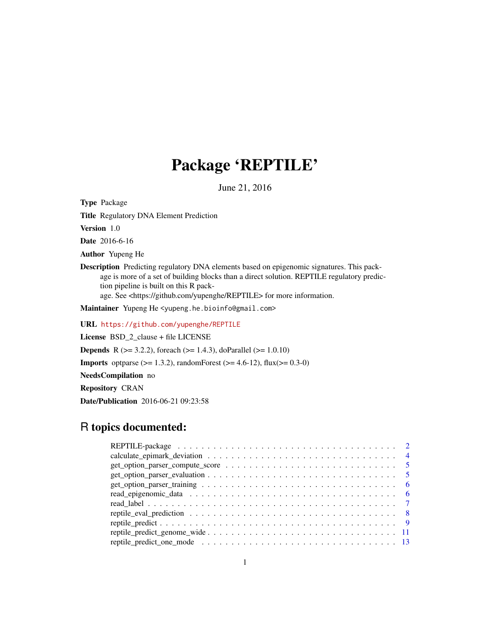# Package 'REPTILE'

June 21, 2016

Type Package

Title Regulatory DNA Element Prediction

Version 1.0

Date 2016-6-16

Author Yupeng He

Description Predicting regulatory DNA elements based on epigenomic signatures. This package is more of a set of building blocks than a direct solution. REPTILE regulatory prediction pipeline is built on this R pack-

age. See <https://github.com/yupenghe/REPTILE> for more information.

Maintainer Yupeng He <yupeng.he.bioinfo@gmail.com>

URL <https://github.com/yupenghe/REPTILE>

License BSD\_2\_clause + file LICENSE

**Depends** R ( $>= 3.2.2$ ), foreach ( $>= 1.4.3$ ), doParallel ( $>= 1.0.10$ )

**Imports** optparse ( $> = 1.3.2$ ), randomForest ( $> = 4.6-12$ ), flux( $> = 0.3-0$ )

NeedsCompilation no

Repository CRAN

Date/Publication 2016-06-21 09:23:58

# R topics documented: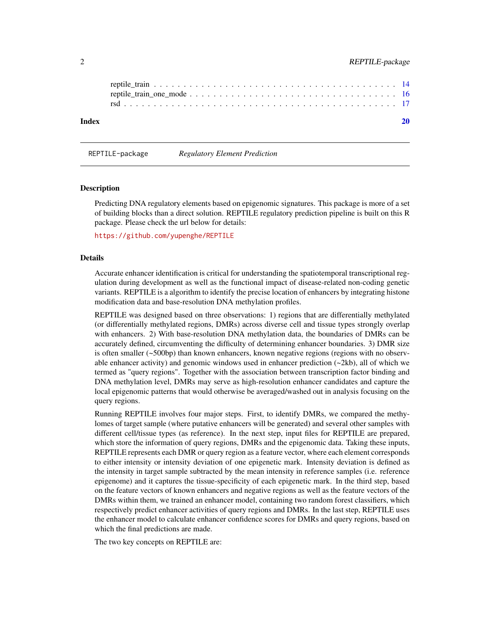<span id="page-1-0"></span>

REPTILE-package *Regulatory Element Prediction*

#### Description

Predicting DNA regulatory elements based on epigenomic signatures. This package is more of a set of building blocks than a direct solution. REPTILE regulatory prediction pipeline is built on this R package. Please check the url below for details:

<https://github.com/yupenghe/REPTILE>

#### Details

Accurate enhancer identification is critical for understanding the spatiotemporal transcriptional regulation during development as well as the functional impact of disease-related non-coding genetic variants. REPTILE is a algorithm to identify the precise location of enhancers by integrating histone modification data and base-resolution DNA methylation profiles.

REPTILE was designed based on three observations: 1) regions that are differentially methylated (or differentially methylated regions, DMRs) across diverse cell and tissue types strongly overlap with enhancers. 2) With base-resolution DNA methylation data, the boundaries of DMRs can be accurately defined, circumventing the difficulty of determining enhancer boundaries. 3) DMR size is often smaller (~500bp) than known enhancers, known negative regions (regions with no observable enhancer activity) and genomic windows used in enhancer prediction  $(\sim 2kb)$ , all of which we termed as "query regions". Together with the association between transcription factor binding and DNA methylation level, DMRs may serve as high-resolution enhancer candidates and capture the local epigenomic patterns that would otherwise be averaged/washed out in analysis focusing on the query regions.

Running REPTILE involves four major steps. First, to identify DMRs, we compared the methylomes of target sample (where putative enhancers will be generated) and several other samples with different cell/tissue types (as reference). In the next step, input files for REPTILE are prepared, which store the information of query regions, DMRs and the epigenomic data. Taking these inputs, REPTILE represents each DMR or query region as a feature vector, where each element corresponds to either intensity or intensity deviation of one epigenetic mark. Intensity deviation is defined as the intensity in target sample subtracted by the mean intensity in reference samples (i.e. reference epigenome) and it captures the tissue-specificity of each epigenetic mark. In the third step, based on the feature vectors of known enhancers and negative regions as well as the feature vectors of the DMRs within them, we trained an enhancer model, containing two random forest classifiers, which respectively predict enhancer activities of query regions and DMRs. In the last step, REPTILE uses the enhancer model to calculate enhancer confidence scores for DMRs and query regions, based on which the final predictions are made.

The two key concepts on REPTILE are: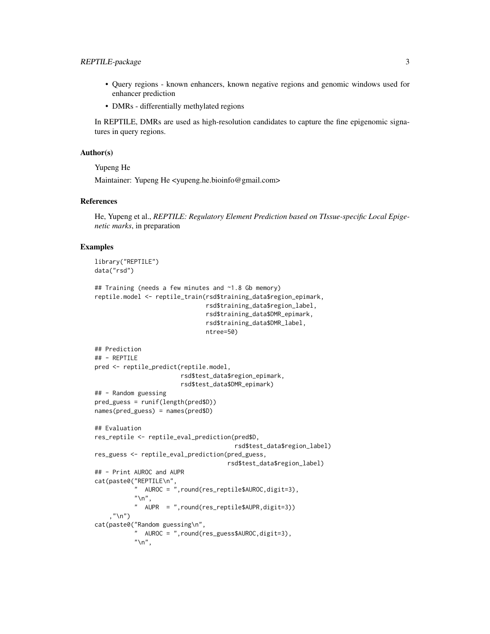# REPTILE-package 3

- Query regions known enhancers, known negative regions and genomic windows used for enhancer prediction
- DMRs differentially methylated regions

In REPTILE, DMRs are used as high-resolution candidates to capture the fine epigenomic signatures in query regions.

#### Author(s)

Yupeng He

Maintainer: Yupeng He <yupeng.he.bioinfo@gmail.com>

#### References

He, Yupeng et al., *REPTILE: Regulatory Element Prediction based on TIssue-specific Local Epigenetic marks*, in preparation

#### Examples

```
library("REPTILE")
data("rsd")
## Training (needs a few minutes and ~1.8 Gb memory)
reptile.model <- reptile_train(rsd$training_data$region_epimark,
                                rsd$training_data$region_label,
                                rsd$training_data$DMR_epimark,
                                rsd$training_data$DMR_label,
                               ntree=50)
## Prediction
## - REPTILE
pred <- reptile_predict(reptile.model,
                        rsd$test_data$region_epimark,
                        rsd$test_data$DMR_epimark)
## - Random guessing
pred_guess = runif(length(pred$D))
names(pred_guess) = names(pred$D)
## Evaluation
res_reptile <- reptile_eval_prediction(pred$D,
                                        rsd$test_data$region_label)
res_guess <- reptile_eval_prediction(pred_guess,
                                      rsd$test_data$region_label)
## - Print AUROC and AUPR
cat(paste0("REPTILE\n",
           " AUROC = ",round(res_reptile$AUROC,digit=3),
           "\n",
           " AUPR = ",round(res_reptile$AUPR,digit=3))
    ,"\langle n" \ranglecat(paste0("Random guessing\n",
           " AUROC = ",round(res_guess$AUROC,digit=3),
           "\n",
```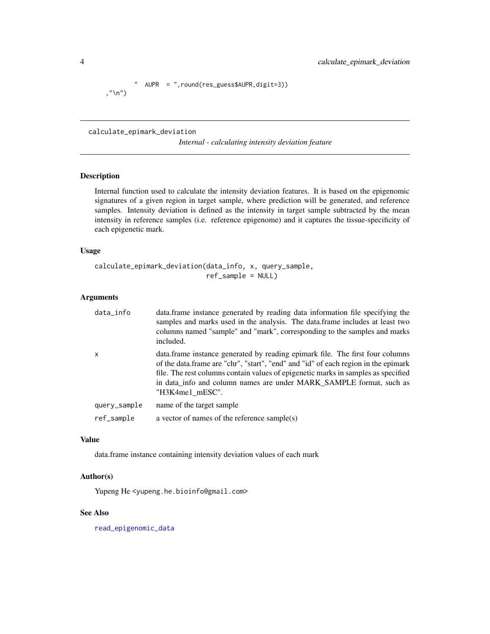```
AUPR = ",round(res_guess$AUPR,digit=3))
,"\n\langle n" \rangle
```
calculate\_epimark\_deviation

*Internal - calculating intensity deviation feature*

# Description

Internal function used to calculate the intensity deviation features. It is based on the epigenomic signatures of a given region in target sample, where prediction will be generated, and reference samples. Intensity deviation is defined as the intensity in target sample subtracted by the mean intensity in reference samples (i.e. reference epigenome) and it captures the tissue-specificity of each epigenetic mark.

#### Usage

```
calculate_epimark_deviation(data_info, x, query_sample,
                            ref_sample = NULL)
```
# Arguments

| data_info    | data. frame instance generated by reading data information file specifying the<br>samples and marks used in the analysis. The data frame includes at least two<br>columns named "sample" and "mark", corresponding to the samples and marks<br>included.                                                                                           |
|--------------|----------------------------------------------------------------------------------------------------------------------------------------------------------------------------------------------------------------------------------------------------------------------------------------------------------------------------------------------------|
| X            | data.frame instance generated by reading epimark file. The first four columns<br>of the data.frame are "chr", "start", "end" and "id" of each region in the epimark<br>file. The rest columns contain values of epigenetic marks in samples as specified<br>in data info and column names are under MARK SAMPLE format, such as<br>"H3K4me1 mESC". |
| query_sample | name of the target sample                                                                                                                                                                                                                                                                                                                          |
| ref_sample   | a vector of names of the reference sample $(s)$                                                                                                                                                                                                                                                                                                    |

# Value

data.frame instance containing intensity deviation values of each mark

# Author(s)

Yupeng He <yupeng.he.bioinfo@gmail.com>

## See Also

[read\\_epigenomic\\_data](#page-5-1)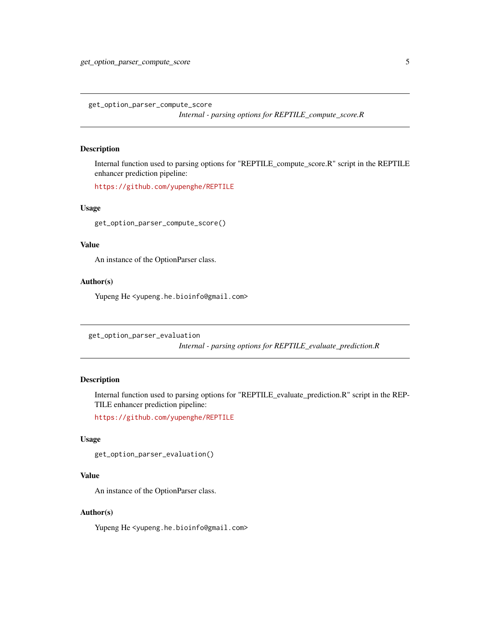<span id="page-4-0"></span>get\_option\_parser\_compute\_score *Internal - parsing options for REPTILE\_compute\_score.R*

# Description

Internal function used to parsing options for "REPTILE\_compute\_score.R" script in the REPTILE enhancer prediction pipeline:

<https://github.com/yupenghe/REPTILE>

#### Usage

get\_option\_parser\_compute\_score()

#### Value

An instance of the OptionParser class.

# Author(s)

Yupeng He <yupeng.he.bioinfo@gmail.com>

get\_option\_parser\_evaluation

*Internal - parsing options for REPTILE\_evaluate\_prediction.R*

# Description

Internal function used to parsing options for "REPTILE\_evaluate\_prediction.R" script in the REP-TILE enhancer prediction pipeline:

<https://github.com/yupenghe/REPTILE>

#### Usage

```
get_option_parser_evaluation()
```
# Value

An instance of the OptionParser class.

### Author(s)

Yupeng He <yupeng.he.bioinfo@gmail.com>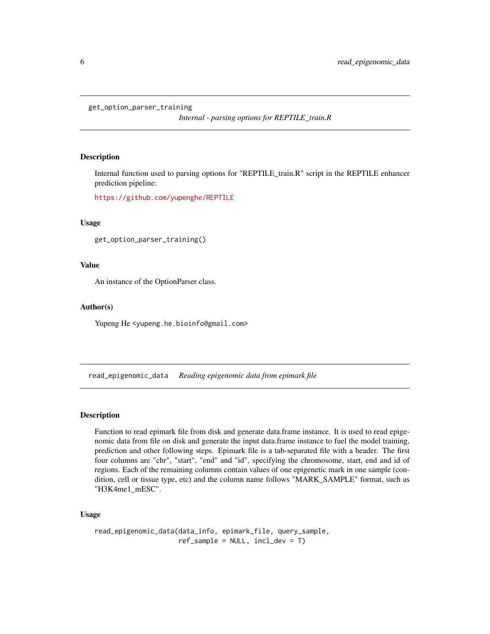```
get_option_parser_training
```
*Internal - parsing options for REPTILE\_train.R*

#### Description

Internal function used to parsing options for "REPTILE\_train.R" script in the REPTILE enhancer prediction pipeline:

<https://github.com/yupenghe/REPTILE>

#### Usage

get\_option\_parser\_training()

## Value

An instance of the OptionParser class.

#### Author(s)

Yupeng He <yupeng.he.bioinfo@gmail.com>

<span id="page-5-1"></span>read\_epigenomic\_data *Reading epigenomic data from epimark file*

## Description

Function to read epimark file from disk and generate data.frame instance. It is used to read epigenomic data from file on disk and generate the input data.frame instance to fuel the model training, prediction and other following steps. Epimark file is a tab-separated file with a header. The first four columns are "chr", "start", "end" and "id", specifying the chromosome, start, end and id of regions. Each of the remaining columns contain values of one epigenetic mark in one sample (condition, cell or tissue type, etc) and the column name follows "MARK\_SAMPLE" format, such as "H3K4me1\_mESC".

# Usage

```
read_epigenomic_data(data_info, epimark_file, query_sample,
                    ref_sample = NULL, incl_dev = T)
```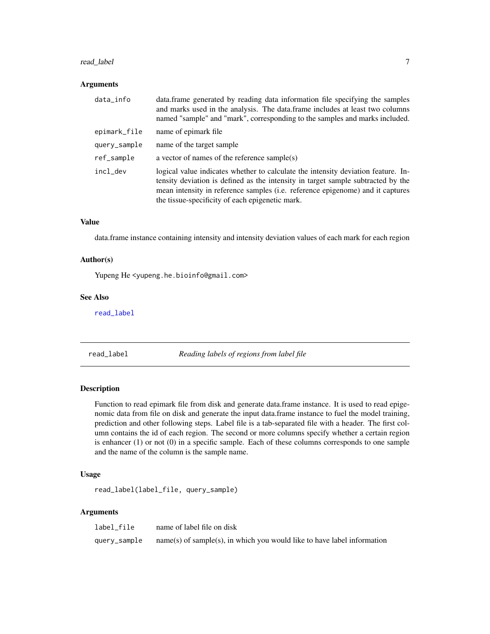#### <span id="page-6-0"></span>read\_label 7

#### Arguments

| data_info    | data. frame generated by reading data information file specifying the samples<br>and marks used in the analysis. The data frame includes at least two columns<br>named "sample" and "mark", corresponding to the samples and marks included.                                                               |
|--------------|------------------------------------------------------------------------------------------------------------------------------------------------------------------------------------------------------------------------------------------------------------------------------------------------------------|
| epimark_file | name of epimark file.                                                                                                                                                                                                                                                                                      |
| query_sample | name of the target sample                                                                                                                                                                                                                                                                                  |
| ref_sample   | a vector of names of the reference sample(s)                                                                                                                                                                                                                                                               |
| incl dev     | logical value indicates whether to calculate the intensity deviation feature. In-<br>tensity deviation is defined as the intensity in target sample subtracted by the<br>mean intensity in reference samples (i.e. reference epigenome) and it captures<br>the tissue-specificity of each epigenetic mark. |

#### Value

data.frame instance containing intensity and intensity deviation values of each mark for each region

### Author(s)

Yupeng He <yupeng.he.bioinfo@gmail.com>

#### See Also

[read\\_label](#page-6-1)

<span id="page-6-1"></span>read\_label *Reading labels of regions from label file*

#### Description

Function to read epimark file from disk and generate data.frame instance. It is used to read epigenomic data from file on disk and generate the input data.frame instance to fuel the model training, prediction and other following steps. Label file is a tab-separated file with a header. The first column contains the id of each region. The second or more columns specify whether a certain region is enhancer (1) or not (0) in a specific sample. Each of these columns corresponds to one sample and the name of the column is the sample name.

#### Usage

read\_label(label\_file, query\_sample)

### Arguments

| label file   | name of label file on disk                                                |
|--------------|---------------------------------------------------------------------------|
| query_sample | $name(s)$ of sample(s), in which you would like to have label information |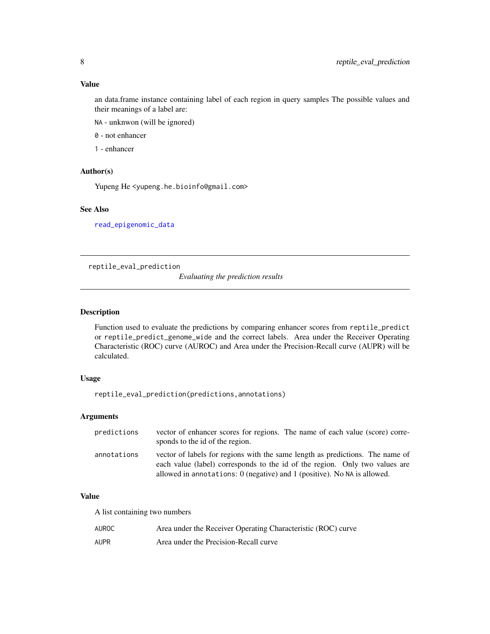<span id="page-7-0"></span>an data.frame instance containing label of each region in query samples The possible values and their meanings of a label are:

NA - unknwon (will be ignored)

0 - not enhancer

1 - enhancer

# Author(s)

Yupeng He <yupeng.he.bioinfo@gmail.com>

# See Also

[read\\_epigenomic\\_data](#page-5-1)

reptile\_eval\_prediction

*Evaluating the prediction results*

# Description

Function used to evaluate the predictions by comparing enhancer scores from reptile\_predict or reptile\_predict\_genome\_wide and the correct labels. Area under the Receiver Operating Characteristic (ROC) curve (AUROC) and Area under the Precision-Recall curve (AUPR) will be calculated.

# Usage

reptile\_eval\_prediction(predictions,annotations)

# Arguments

| predictions | vector of enhancer scores for regions. The name of each value (score) corre-<br>sponds to the id of the region.                                                                                                                          |
|-------------|------------------------------------------------------------------------------------------------------------------------------------------------------------------------------------------------------------------------------------------|
| annotations | vector of labels for regions with the same length as predictions. The name of<br>each value (label) corresponds to the id of the region. Only two values are<br>allowed in annotations: 0 (negative) and 1 (positive). No NA is allowed. |

#### Value

A list containing two numbers

| AUROC | Area under the Receiver Operating Characteristic (ROC) curve |
|-------|--------------------------------------------------------------|
| AUPR  | Area under the Precision-Recall curve                        |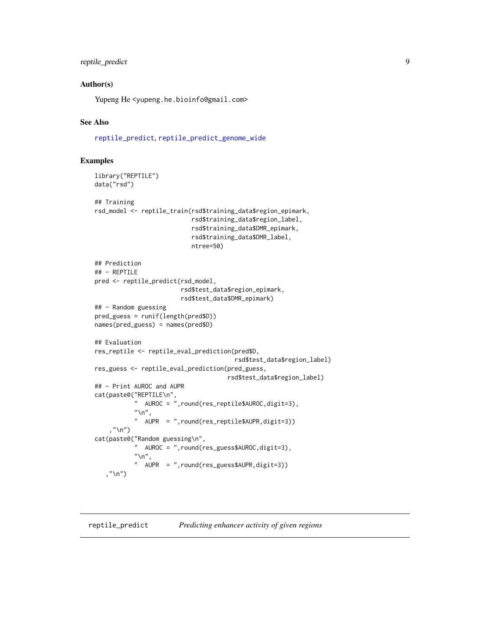# <span id="page-8-0"></span>reptile\_predict 9

#### Author(s)

Yupeng He <yupeng.he.bioinfo@gmail.com>

#### See Also

[reptile\\_predict](#page-8-1), [reptile\\_predict\\_genome\\_wide](#page-10-1)

#### Examples

```
library("REPTILE")
data("rsd")
## Training
rsd_model <- reptile_train(rsd$training_data$region_epimark,
                            rsd$training_data$region_label,
                            rsd$training_data$DMR_epimark,
                            rsd$training_data$DMR_label,
                            ntree=50)
## Prediction
## - REPTILE
pred <- reptile_predict(rsd_model,
                         rsd$test_data$region_epimark,
                         rsd$test_data$DMR_epimark)
## - Random guessing
pred_guess = runif(length(pred$D))
names(pred_guess) = names(pred$D)
## Evaluation
res_reptile <- reptile_eval_prediction(pred$D,
                                        rsd$test_data$region_label)
res_guess <- reptile_eval_prediction(pred_guess,
                                      rsd$test_data$region_label)
## - Print AUROC and AUPR
cat(paste0("REPTILE\n",
           " AUROC = ",round(res_reptile$AUROC,digit=3),
           "\n",
           " AUPR = ",round(res_reptile$AUPR,digit=3))
    ,"\n\langle n" \ranglecat(paste0("Random guessing\n",
           " AUROC = ",round(res_guess$AUROC,digit=3),
           "\n",
           " AUPR = ",round(res_guess$AUPR,digit=3))
   ,"\n\langle n" \rangle
```
<span id="page-8-1"></span>reptile\_predict *Predicting enhancer activity of given regions*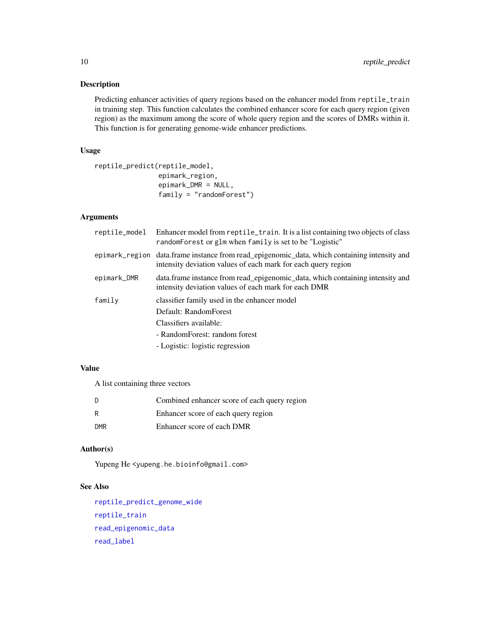# <span id="page-9-0"></span>Description

Predicting enhancer activities of query regions based on the enhancer model from reptile\_train in training step. This function calculates the combined enhancer score for each query region (given region) as the maximum among the score of whole query region and the scores of DMRs within it. This function is for generating genome-wide enhancer predictions.

#### Usage

```
reptile_predict(reptile_model,
                epimark_region,
                epimark_DMR = NULL,
                family = "randomForest")
```
## Arguments

| reptile_model | Enhancer model from reptile_train. It is a list containing two objects of class<br>random Forest or glm when family is set to be "Logistic"                         |
|---------------|---------------------------------------------------------------------------------------------------------------------------------------------------------------------|
|               | epimark_region data.frame instance from read_epigenomic_data, which containing intensity and<br>intensity deviation values of each mark for each query region       |
| epimark_DMR   | data.frame instance from read_epigenomic_data, which containing intensity and<br>intensity deviation values of each mark for each DMR                               |
| family        | classifier family used in the enhancer model<br>Default: RandomForest<br>Classifiers available:<br>- RandomForest: random forest<br>- Logistic: logistic regression |

# Value

A list containing three vectors

| - D        | Combined enhancer score of each query region |
|------------|----------------------------------------------|
| R          | Enhancer score of each query region          |
| <b>DMR</b> | Enhancer score of each DMR                   |

# Author(s)

Yupeng He <yupeng.he.bioinfo@gmail.com>

# See Also

```
reptile_predict_genome_wide
reptile_train
read_epigenomic_data
read_label
```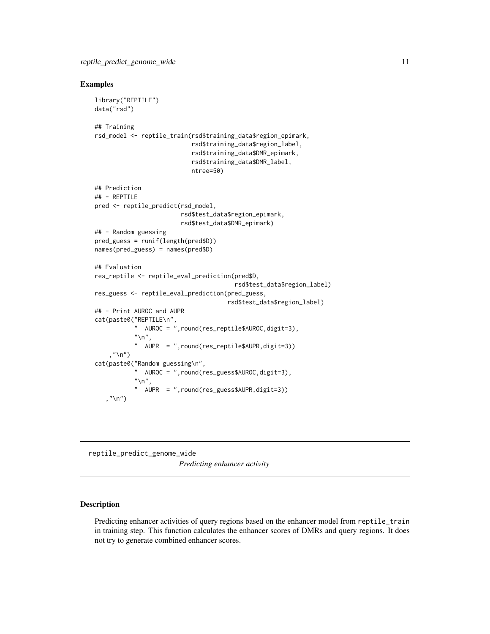#### <span id="page-10-0"></span>Examples

```
library("REPTILE")
data("rsd")
## Training
rsd_model <- reptile_train(rsd$training_data$region_epimark,
                            rsd$training_data$region_label,
                            rsd$training_data$DMR_epimark,
                            rsd$training_data$DMR_label,
                            ntree=50)
## Prediction
## - REPTILE
pred <- reptile_predict(rsd_model,
                         rsd$test_data$region_epimark,
                         rsd$test_data$DMR_epimark)
## - Random guessing
pred_guess = runif(length(pred$D))
names(pred_guess) = names(pred$D)
## Evaluation
res_reptile <- reptile_eval_prediction(pred$D,
                                        rsd$test_data$region_label)
res_guess <- reptile_eval_prediction(pred_guess,
                                      rsd$test_data$region_label)
## - Print AUROC and AUPR
cat(paste0("REPTILE\n",
           " AUROC = ",round(res_reptile$AUROC,digit=3),
           "\n",
           " AUPR = ",round(res_reptile$AUPR,digit=3))
    ,"\n\langle n" \ranglecat(paste0("Random guessing\n",
           " AUROC = ",round(res_guess$AUROC,digit=3),
           "\n",
           " AUPR = ",round(res_guess$AUPR,digit=3))
   ,"\n\langle n" \rangle
```
<span id="page-10-1"></span>reptile\_predict\_genome\_wide *Predicting enhancer activity*

#### Description

Predicting enhancer activities of query regions based on the enhancer model from reptile\_train in training step. This function calculates the enhancer scores of DMRs and query regions. It does not try to generate combined enhancer scores.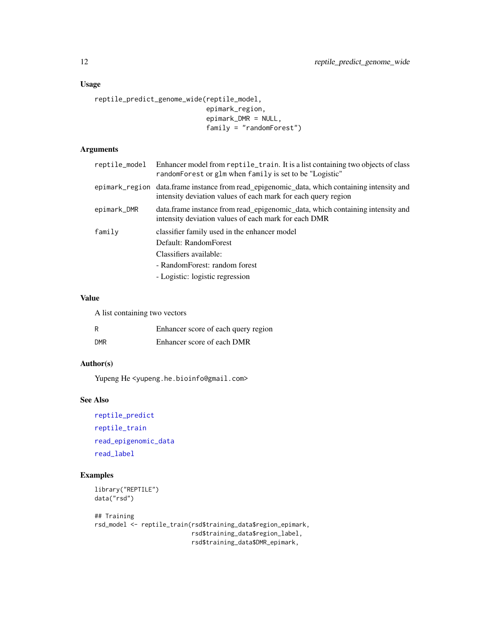# <span id="page-11-0"></span>Usage

```
reptile_predict_genome_wide(reptile_model,
                            epimark_region,
                            epimark_DMR = NULL,
                            family = "randomForest")
```
# Arguments

| reptile_model | Enhancer model from reptile_train. It is a list containing two objects of class<br>randomForest or glm when family is set to be "Logistic"                    |
|---------------|---------------------------------------------------------------------------------------------------------------------------------------------------------------|
|               | epimark_region data.frame instance from read_epigenomic_data, which containing intensity and<br>intensity deviation values of each mark for each query region |
| epimark_DMR   | data. frame instance from read_epigenomic_data, which containing intensity and<br>intensity deviation values of each mark for each DMR                        |
| family        | classifier family used in the enhancer model                                                                                                                  |
|               | Default: RandomForest                                                                                                                                         |
|               | Classifiers available:                                                                                                                                        |
|               | - RandomForest: random forest                                                                                                                                 |
|               | - Logistic: logistic regression                                                                                                                               |

#### Value

A list containing two vectors

| R          | Enhancer score of each query region |
|------------|-------------------------------------|
| <b>DMR</b> | Enhancer score of each DMR          |

# Author(s)

Yupeng He <yupeng.he.bioinfo@gmail.com>

#### See Also

[reptile\\_predict](#page-8-1) [reptile\\_train](#page-13-1) [read\\_epigenomic\\_data](#page-5-1) [read\\_label](#page-6-1)

# Examples

```
library("REPTILE")
data("rsd")
```
## Training rsd\_model <- reptile\_train(rsd\$training\_data\$region\_epimark, rsd\$training\_data\$region\_label, rsd\$training\_data\$DMR\_epimark,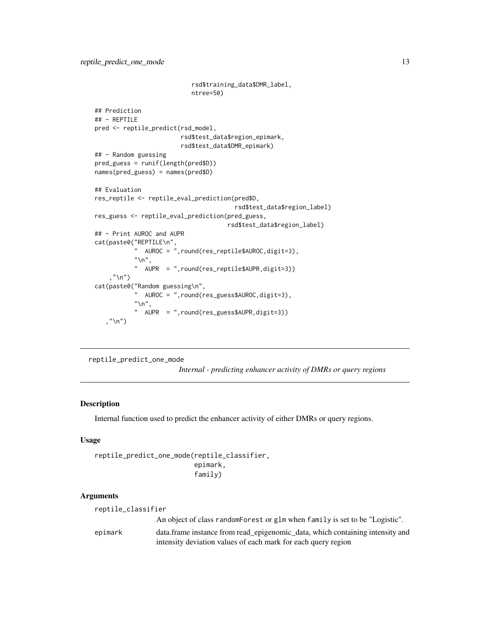```
rsd$training_data$DMR_label,
                             ntree=50)
## Prediction
## - REPTILE
pred <- reptile_predict(rsd_model,
                         rsd$test_data$region_epimark,
                         rsd$test_data$DMR_epimark)
## - Random guessing
pred_guess = runif(length(pred$D))
names(pred_guess) = names(pred$D)
## Evaluation
res_reptile <- reptile_eval_prediction(pred$D,
                                          rsd$test_data$region_label)
res_guess <- reptile_eval_prediction(pred_guess,
                                       rsd$test_data$region_label)
## - Print AUROC and AUPR
cat(paste0("REPTILE\n",
           " AUROC = ",round(res_reptile$AUROC,digit=3),
           \sum_{n=-\infty}^{\infty}AUPR = ",round(res_reptile$AUPR,digit=3))
    ,"\langle n" \ranglecat(paste0("Random guessing\n",
            " AUROC = ",round(res_guess$AUROC,digit=3),
           "\n",
           " AUPR = ",round(res_guess$AUPR,digit=3))
   ,"\langle n" \rangle
```
reptile\_predict\_one\_mode

*Internal - predicting enhancer activity of DMRs or query regions*

#### Description

Internal function used to predict the enhancer activity of either DMRs or query regions.

# Usage

```
reptile_predict_one_mode(reptile_classifier,
                         epimark,
                         family)
```
#### Arguments

| reptile_classifier |
|--------------------|
|--------------------|

An object of class randomForest or glm when family is set to be "Logistic". epimark data.frame instance from read\_epigenomic\_data, which containing intensity and intensity deviation values of each mark for each query region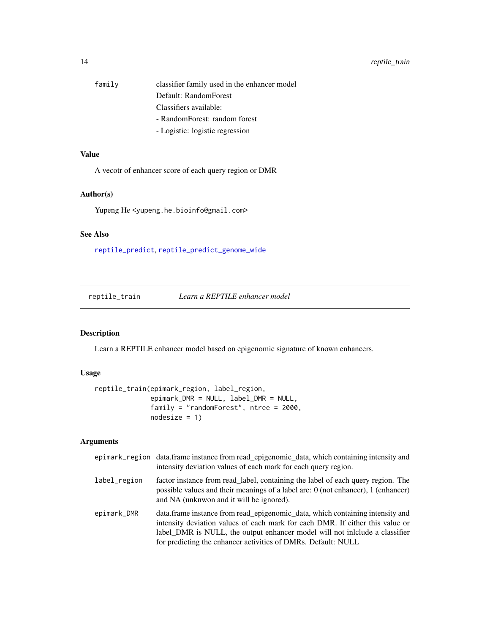<span id="page-13-0"></span>

| family | classifier family used in the enhancer model |
|--------|----------------------------------------------|
|        | Default: RandomForest                        |
|        | Classifiers available:                       |
|        | - RandomForest: random forest                |
|        | T a alatia. Ta alatia segunduan i            |

# - Logistic: logistic regression

# Value

A vecotr of enhancer score of each query region or DMR

#### Author(s)

Yupeng He <yupeng.he.bioinfo@gmail.com>

# See Also

[reptile\\_predict](#page-8-1), [reptile\\_predict\\_genome\\_wide](#page-10-1)

<span id="page-13-1"></span>reptile\_train *Learn a REPTILE enhancer model*

# Description

Learn a REPTILE enhancer model based on epigenomic signature of known enhancers.

# Usage

```
reptile_train(epimark_region, label_region,
              epimark_DMR = NULL, label_DMR = NULL,
              family = "randomForest", ntree = 2000,
              nodesize = 1)
```
# Arguments

|              | epimark_region data.frame instance from read_epigenomic_data, which containing intensity and<br>intensity deviation values of each mark for each query region.                                                                                                                                                 |
|--------------|----------------------------------------------------------------------------------------------------------------------------------------------------------------------------------------------------------------------------------------------------------------------------------------------------------------|
| label_region | factor instance from read_label, containing the label of each query region. The<br>possible values and their meanings of a label are: 0 (not enhancer), 1 (enhancer)<br>and NA (unknwon and it will be ignored).                                                                                               |
| epimark_DMR  | data. frame instance from read_epigenomic_data, which containing intensity and<br>intensity deviation values of each mark for each DMR. If either this value or<br>label DMR is NULL, the output enhancer model will not include a classifier<br>for predicting the enhancer activities of DMRs. Default: NULL |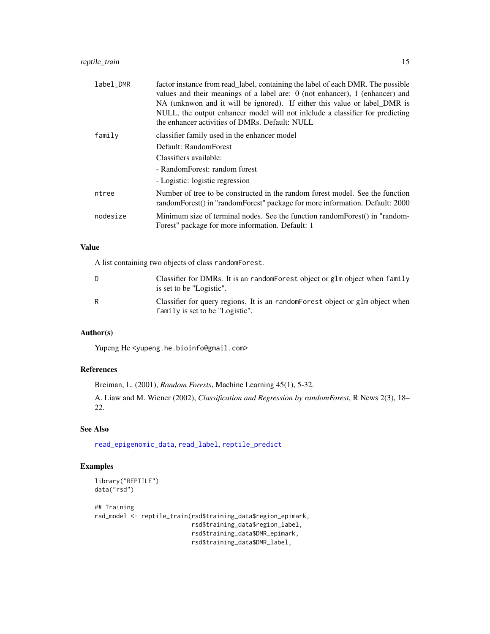# <span id="page-14-0"></span>reptile\_train 15

| label_DMR | factor instance from read_label, containing the label of each DMR. The possible<br>values and their meanings of a label are: 0 (not enhancer), 1 (enhancer) and<br>NA (unknwon and it will be ignored). If either this value or label DMR is<br>NULL, the output enhancer model will not include a classifier for predicting<br>the enhancer activities of DMRs. Default: NULL |
|-----------|--------------------------------------------------------------------------------------------------------------------------------------------------------------------------------------------------------------------------------------------------------------------------------------------------------------------------------------------------------------------------------|
| family    | classifier family used in the enhancer model                                                                                                                                                                                                                                                                                                                                   |
|           | Default: RandomForest                                                                                                                                                                                                                                                                                                                                                          |
|           | Classifiers available:                                                                                                                                                                                                                                                                                                                                                         |
|           | - RandomForest: random forest                                                                                                                                                                                                                                                                                                                                                  |
|           | - Logistic: logistic regression                                                                                                                                                                                                                                                                                                                                                |
| ntree     | Number of tree to be constructed in the random forest model. See the function<br>randomForest() in "randomForest" package for more information. Default: 2000                                                                                                                                                                                                                  |
| nodesize  | Minimum size of terminal nodes. See the function random Forest () in "random-<br>Forest" package for more information. Default: 1                                                                                                                                                                                                                                              |

# Value

A list containing two objects of class randomForest.

| D | Classifier for DMRs. It is an randomForest object or glm object when family<br>is set to be "Logistic".           |
|---|-------------------------------------------------------------------------------------------------------------------|
| R | Classifier for query regions. It is an random Forest object or glm object when<br>family is set to be "Logistic". |

# Author(s)

Yupeng He <yupeng.he.bioinfo@gmail.com>

# References

Breiman, L. (2001), *Random Forests*, Machine Learning 45(1), 5-32.

A. Liaw and M. Wiener (2002), *Classification and Regression by randomForest*, R News 2(3), 18– 22.

# See Also

[read\\_epigenomic\\_data](#page-5-1), [read\\_label](#page-6-1), [reptile\\_predict](#page-8-1)

# Examples

```
library("REPTILE")
data("rsd")
## Training
rsd_model <- reptile_train(rsd$training_data$region_epimark,
                           rsd$training_data$region_label,
```
rsd\$training\_data\$DMR\_epimark, rsd\$training\_data\$DMR\_label,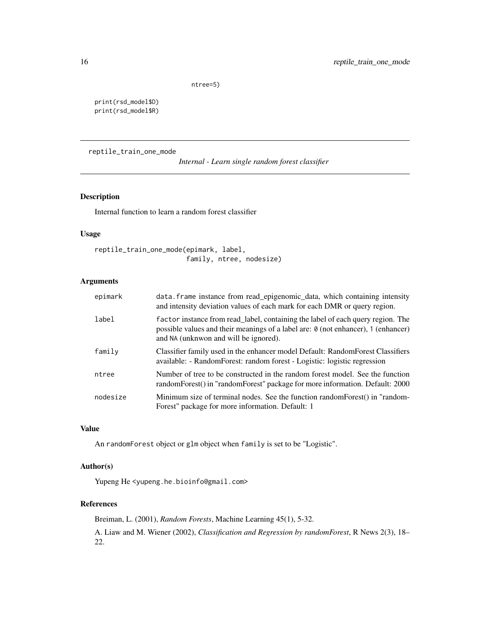ntree=5)

<span id="page-15-0"></span>print(rsd\_model\$D) print(rsd\_model\$R)

reptile\_train\_one\_mode

*Internal - Learn single random forest classifier*

# Description

Internal function to learn a random forest classifier

# Usage

```
reptile_train_one_mode(epimark, label,
                       family, ntree, nodesize)
```
# Arguments

| epimark  | data. frame instance from read_epigenomic_data, which containing intensity<br>and intensity deviation values of each mark for each DMR or query region.                                                       |
|----------|---------------------------------------------------------------------------------------------------------------------------------------------------------------------------------------------------------------|
| label    | factor instance from read_label, containing the label of each query region. The<br>possible values and their meanings of a label are: 0 (not enhancer), 1 (enhancer)<br>and NA (unknwon and will be ignored). |
| family   | Classifier family used in the enhancer model Default: RandomForest Classifiers<br>available: - RandomForest: random forest - Logistic: logistic regression                                                    |
| ntree    | Number of tree to be constructed in the random forest model. See the function<br>randomForest() in "randomForest" package for more information. Default: 2000                                                 |
| nodesize | Minimum size of terminal nodes. See the function randomForest() in "random-<br>Forest" package for more information. Default: 1                                                                               |

# Value

An randomForest object or glm object when family is set to be "Logistic".

# Author(s)

Yupeng He <yupeng.he.bioinfo@gmail.com>

## References

Breiman, L. (2001), *Random Forests*, Machine Learning 45(1), 5-32.

A. Liaw and M. Wiener (2002), *Classification and Regression by randomForest*, R News 2(3), 18– 22.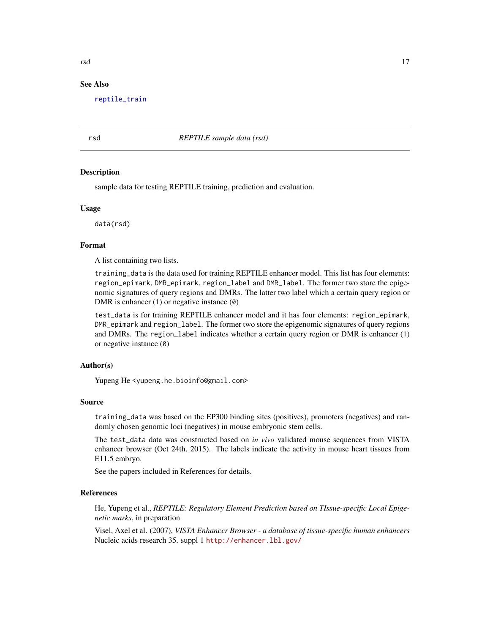#### See Also

[reptile\\_train](#page-13-1)

#### rsd *REPTILE sample data (rsd)*

#### **Description**

sample data for testing REPTILE training, prediction and evaluation.

#### Usage

data(rsd)

#### Format

A list containing two lists.

training\_data is the data used for training REPTILE enhancer model. This list has four elements: region\_epimark, DMR\_epimark, region\_label and DMR\_label. The former two store the epigenomic signatures of query regions and DMRs. The latter two label which a certain query region or DMR is enhancer (1) or negative instance (0)

test\_data is for training REPTILE enhancer model and it has four elements: region\_epimark, DMR\_epimark and region\_label. The former two store the epigenomic signatures of query regions and DMRs. The region\_label indicates whether a certain query region or DMR is enhancer (1) or negative instance (0)

#### Author(s)

Yupeng He <yupeng.he.bioinfo@gmail.com>

#### Source

training\_data was based on the EP300 binding sites (positives), promoters (negatives) and randomly chosen genomic loci (negatives) in mouse embryonic stem cells.

The test\_data data was constructed based on *in vivo* validated mouse sequences from VISTA enhancer browser (Oct 24th, 2015). The labels indicate the activity in mouse heart tissues from E11.5 embryo.

See the papers included in References for details.

# References

He, Yupeng et al., *REPTILE: Regulatory Element Prediction based on TIssue-specific Local Epigenetic marks*, in preparation

Visel, Axel et al. (2007), *VISTA Enhancer Browser - a database of tissue-specific human enhancers* Nucleic acids research 35. suppl 1 <http://enhancer.lbl.gov/>

<span id="page-16-0"></span>rsd 17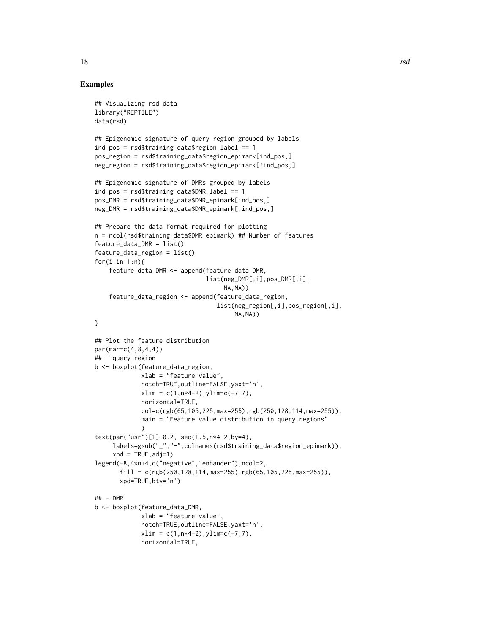```
## Visualizing rsd data
library("REPTILE")
data(rsd)
## Epigenomic signature of query region grouped by labels
ind_pos = rsd$training_data$region_label == 1
pos_region = rsd$training_data$region_epimark[ind_pos,]
neg_region = rsd$training_data$region_epimark[!ind_pos,]
## Epigenomic signature of DMRs grouped by labels
ind_pos = rsd$training_data$DMR_label == 1
pos_DMR = rsd$training_data$DMR_epimark[ind_pos,]
neg_DMR = rsd$training_data$DMR_epimark[!ind_pos,]
## Prepare the data format required for plotting
n = ncol(rsd$training_data$DMR_epimark) ## Number of features
feature_data_DMR = list()
feature_data_region = list()
for(i in 1:n){
    feature_data_DMR <- append(feature_data_DMR,
                               list(neg_DMR[,i],pos_DMR[,i],
                                     NA,NA))
    feature_data_region <- append(feature_data_region,
                                   list(neg_region[,i],pos_region[,i],
                                       NA,NA))
}
## Plot the feature distribution
par(mar=c(4,8,4,4))
## - query region
b <- boxplot(feature_data_region,
             xlab = "feature value",
             notch=TRUE,outline=FALSE,yaxt='n',
             xlim = c(1, n*4-2), ylim = c(-7, 7),horizontal=TRUE,
             col=c(rgb(65,105,225,max=255),rgb(250,128,114,max=255)),
             main = "Feature value distribution in query regions"
             \lambdatext(par("usr")[1]-0.2, seq(1.5,n*4-2,by=4),
     labels=gsub("_","-",colnames(rsd$training_data$region_epimark)),
     xpd = TRUE, adj=1)legend(-8,4*n+4,c("negative","enhancer"),ncol=2,
       fill = c(rgb(250, 128, 114, max=255),rgb(65, 105, 225, max=255)),xpd=TRUE,bty='n')
## - DMR
b <- boxplot(feature_data_DMR,
             xlab = "feature value",
             notch=TRUE,outline=FALSE,yaxt='n',
             xlim = c(1, n*4-2), ylim = c(-7, 7),horizontal=TRUE,
```
18 rsd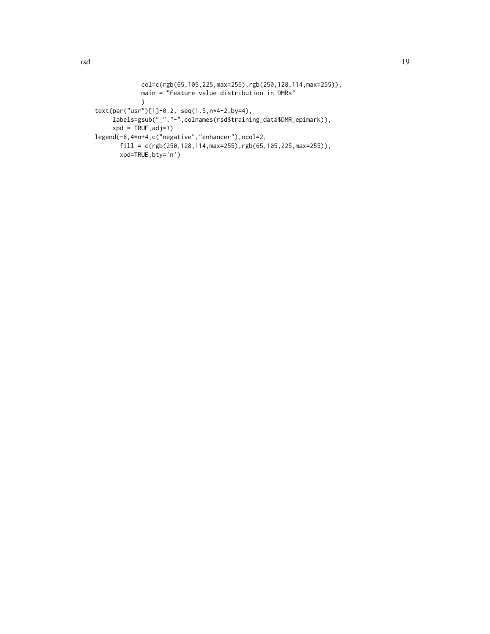```
col=c(rgb(65,105,225,max=255),rgb(250,128,114,max=255)),
```

```
main = "Feature value distribution in DMRs"
             )
text(par("usr")[1]-0.2, seq(1.5,n*4-2,by=4),
     labels=gsub("_","-",colnames(rsd$training_data$DMR_epimark)),
     xpd = TRUE, adj=1legend(-8,4*n+4,c("negative","enhancer"),ncol=2,
       fill = c(rgb(250, 128, 114, max=255),rgb(65, 105, 225, max=255)),xpd=TRUE,bty='n')
```